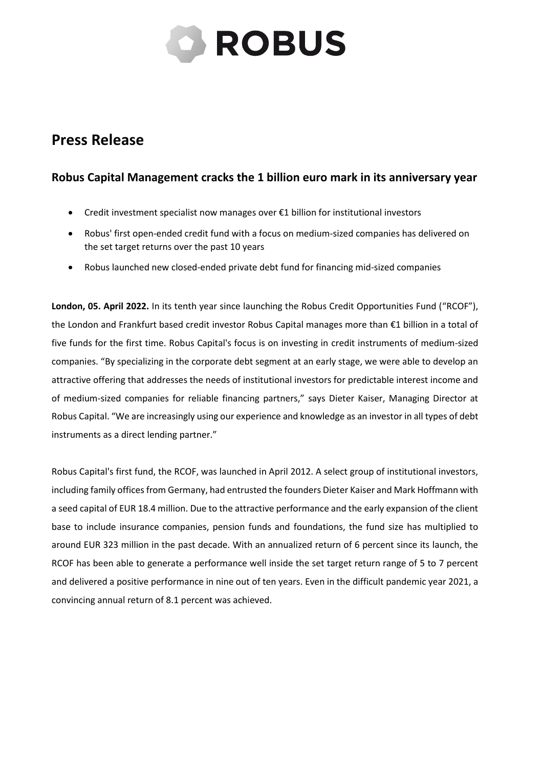

## **Press Release**

## **Robus Capital Management cracks the 1 billion euro mark in its anniversary year**

- Credit investment specialist now manages over €1 billion for institutional investors
- Robus' first open-ended credit fund with a focus on medium-sized companies has delivered on the set target returns over the past 10 years
- Robus launched new closed-ended private debt fund for financing mid-sized companies

**London, 05. April 2022.** In its tenth year since launching the Robus Credit Opportunities Fund ("RCOF"), the London and Frankfurt based credit investor Robus Capital manages more than €1 billion in a total of five funds for the first time. Robus Capital's focus is on investing in credit instruments of medium-sized companies. "By specializing in the corporate debt segment at an early stage, we were able to develop an attractive offering that addresses the needs of institutional investors for predictable interest income and of medium-sized companies for reliable financing partners," says Dieter Kaiser, Managing Director at Robus Capital. "We are increasingly using our experience and knowledge as an investor in all types of debt instruments as a direct lending partner."

Robus Capital's first fund, the RCOF, was launched in April 2012. A select group of institutional investors, including family offices from Germany, had entrusted the founders Dieter Kaiser and Mark Hoffmann with a seed capital of EUR 18.4 million. Due to the attractive performance and the early expansion of the client base to include insurance companies, pension funds and foundations, the fund size has multiplied to around EUR 323 million in the past decade. With an annualized return of 6 percent since its launch, the RCOF has been able to generate a performance well inside the set target return range of 5 to 7 percent and delivered a positive performance in nine out of ten years. Even in the difficult pandemic year 2021, a convincing annual return of 8.1 percent was achieved.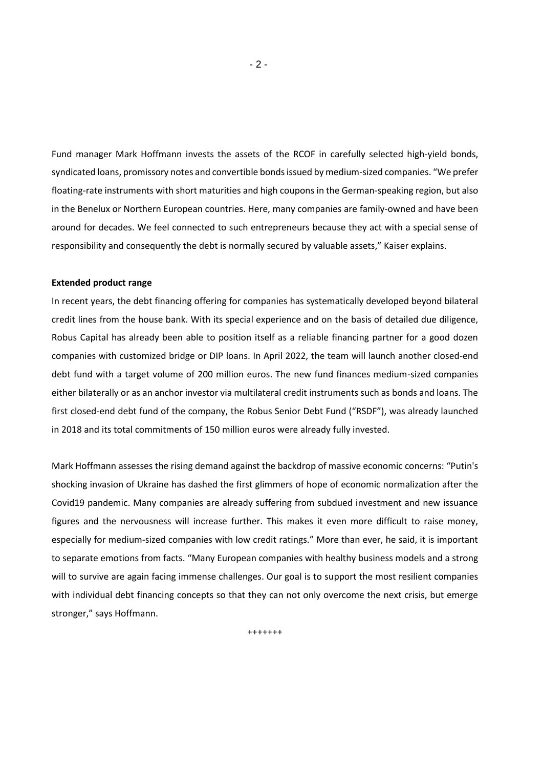Fund manager Mark Hoffmann invests the assets of the RCOF in carefully selected high-yield bonds, syndicated loans, promissory notes and convertible bondsissued by medium-sized companies. "We prefer floating-rate instruments with short maturities and high coupons in the German-speaking region, but also in the Benelux or Northern European countries. Here, many companies are family-owned and have been around for decades. We feel connected to such entrepreneurs because they act with a special sense of responsibility and consequently the debt is normally secured by valuable assets," Kaiser explains.

## **Extended product range**

In recent years, the debt financing offering for companies has systematically developed beyond bilateral credit lines from the house bank. With its special experience and on the basis of detailed due diligence, Robus Capital has already been able to position itself as a reliable financing partner for a good dozen companies with customized bridge or DIP loans. In April 2022, the team will launch another closed-end debt fund with a target volume of 200 million euros. The new fund finances medium-sized companies either bilaterally or as an anchor investor via multilateral credit instruments such as bonds and loans. The first closed-end debt fund of the company, the Robus Senior Debt Fund ("RSDF"), was already launched in 2018 and its total commitments of 150 million euros were already fully invested.

Mark Hoffmann assesses the rising demand against the backdrop of massive economic concerns: "Putin's shocking invasion of Ukraine has dashed the first glimmers of hope of economic normalization after the Covid19 pandemic. Many companies are already suffering from subdued investment and new issuance figures and the nervousness will increase further. This makes it even more difficult to raise money, especially for medium-sized companies with low credit ratings." More than ever, he said, it is important to separate emotions from facts. "Many European companies with healthy business models and a strong will to survive are again facing immense challenges. Our goal is to support the most resilient companies with individual debt financing concepts so that they can not only overcome the next crisis, but emerge stronger," says Hoffmann.

+++++++